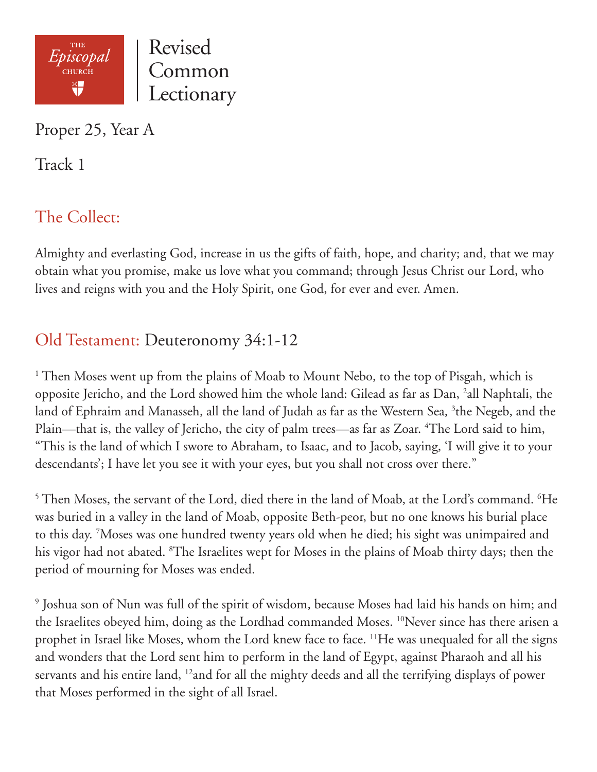

Proper 25, Year A

Track 1

# The Collect:

Almighty and everlasting God, increase in us the gifts of faith, hope, and charity; and, that we may obtain what you promise, make us love what you command; through Jesus Christ our Lord, who lives and reigns with you and the Holy Spirit, one God, for ever and ever. Amen.

## Old Testament: Deuteronomy 34:1-12

<sup>1</sup> Then Moses went up from the plains of Moab to Mount Nebo, to the top of Pisgah, which is opposite Jericho, and the Lord showed him the whole land: Gilead as far as Dan, <sup>2</sup>all Naphtali, the land of Ephraim and Manasseh, all the land of Judah as far as the Western Sea, <sup>3</sup>the Negeb, and the Plain—that is, the valley of Jericho, the city of palm trees—as far as Zoar. <sup>4</sup>The Lord said to him, "This is the land of which I swore to Abraham, to Isaac, and to Jacob, saying, 'I will give it to your descendants'; I have let you see it with your eyes, but you shall not cross over there."

 $^5$  Then Moses, the servant of the Lord, died there in the land of Moab, at the Lord's command.  $^6$ He was buried in a valley in the land of Moab, opposite Beth-peor, but no one knows his burial place to this day. 7 Moses was one hundred twenty years old when he died; his sight was unimpaired and his vigor had not abated. 8 The Israelites wept for Moses in the plains of Moab thirty days; then the period of mourning for Moses was ended.

9 Joshua son of Nun was full of the spirit of wisdom, because Moses had laid his hands on him; and the Israelites obeyed him, doing as the Lordhad commanded Moses. <sup>10</sup>Never since has there arisen a prophet in Israel like Moses, whom the Lord knew face to face. <sup>11</sup>He was unequaled for all the signs and wonders that the Lord sent him to perform in the land of Egypt, against Pharaoh and all his servants and his entire land, 12and for all the mighty deeds and all the terrifying displays of power that Moses performed in the sight of all Israel.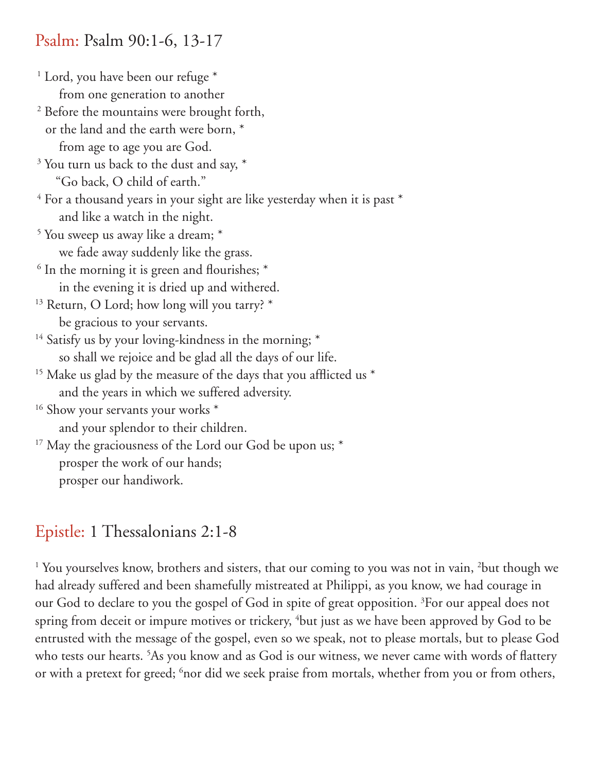#### Psalm: Psalm 90:1-6, 13-17

<sup>1</sup> Lord, you have been our refuge \*

 from one generation to another 2 Before the mountains were brought forth, or the land and the earth were born, \* from age to age you are God. <sup>3</sup> You turn us back to the dust and say,  $*$  "Go back, O child of earth."  $4$  For a thousand years in your sight are like yesterday when it is past  $*$  and like a watch in the night. 5 You sweep us away like a dream; \* we fade away suddenly like the grass.  $6$  In the morning it is green and flourishes;  $*$  in the evening it is dried up and withered. <sup>13</sup> Return, O Lord; how long will you tarry? \* be gracious to your servants. <sup>14</sup> Satisfy us by your loving-kindness in the morning; \* so shall we rejoice and be glad all the days of our life.  $15$  Make us glad by the measure of the days that you afflicted us  $*$  and the years in which we suffered adversity. <sup>16</sup> Show your servants your works \* and your splendor to their children.  $17$  May the graciousness of the Lord our God be upon us;  $*$ 

 prosper the work of our hands; prosper our handiwork.

### Epistle: 1 Thessalonians 2:1-8

<sup>1</sup> You yourselves know, brothers and sisters, that our coming to you was not in vain, <sup>2</sup>but though we had already suffered and been shamefully mistreated at Philippi, as you know, we had courage in our God to declare to you the gospel of God in spite of great opposition. <sup>3</sup>For our appeal does not spring from deceit or impure motives or trickery, <sup>4</sup>but just as we have been approved by God to be entrusted with the message of the gospel, even so we speak, not to please mortals, but to please God who tests our hearts. 5 As you know and as God is our witness, we never came with words of flattery or with a pretext for greed; <sup>6</sup>nor did we seek praise from mortals, whether from you or from others,